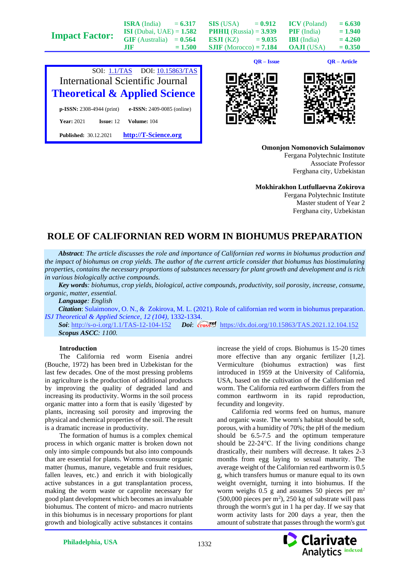|                       |                                   |           |                                 | $QR - Issue$ |                     | QR – Article |
|-----------------------|-----------------------------------|-----------|---------------------------------|--------------|---------------------|--------------|
| <b>Impact Factor:</b> | .TIF                              | $= 1.500$ | $SIIF$ (Morocco) = 7.184        |              | <b>OAJI</b> (USA)   | $= 0.350$    |
|                       | $GIF$ (Australia) = $0.564$       |           | ESJI (KZ)                       | $= 9.035$    | <b>IBI</b> (India)  | $= 4.260$    |
|                       | <b>ISI</b> (Dubai, UAE) = $1.582$ |           | <b>PHHII</b> (Russia) = $3.939$ |              | <b>PIF</b> (India)  | $= 1.940$    |
|                       | <b>ISRA</b> (India)               | $= 6.317$ | SIS (USA)                       | $= 0.912$    | <b>ICV</b> (Poland) | $= 6.630$    |



**Published:** 30.12.2021 **[http://T-Science.org](http://t-science.org/)**





**Omonjon Nomonovich Sulaimonov** Fergana Polytechnic Institute Associate Professor Ferghana city, Uzbekistan

**Mokhirakhon Lutfullaevna Zokirova** Fergana Polytechnic Institute Master student of Year 2 Ferghana city, Uzbekistan

## **ROLE OF CALIFORNIAN RED WORM IN BIOHUMUS PREPARATION**

*Abstract: The article discusses the role and importance of Californian red worms in biohumus production and the impact of biohumus on crop yields. The author of the current article consider that biohumus has biostimulating properties, contains the necessary proportions of substances necessary for plant growth and development and is rich in various biologically active compounds.*

*Key words: biohumus, crop yields, biological, active compounds, productivity, soil porosity, increase, consume, organic, matter, essential.*

*Language: English*

*Citation*: Sulaimonov, O. N., & Zokirova, M. L. (2021). Role of californian red worm in biohumus preparation. *ISJ Theoretical & Applied Science, 12 (104),* 1332-1334.

**Soi**[: http://s-o-i.org/1.1/TAS-12-104-152](http://s-o-i.org/1.1/TAS-12-104-152) *Doi*: crossed <https://dx.doi.org/10.15863/TAS.2021.12.104.152> *Scopus ASCC: 1100.*

## **Introduction**

The California red worm Eisenia andrei (Bouche, 1972) has been bred in Uzbekistan for the last few decades. One of the most pressing problems in agriculture is the production of additional products by improving the quality of degraded land and increasing its productivity. Worms in the soil process organic matter into a form that is easily 'digested' by plants, increasing soil porosity and improving the physical and chemical properties of the soil. The result is a dramatic increase in productivity.

The formation of humus is a complex chemical process in which organic matter is broken down not only into simple compounds but also into compounds that are essential for plants. Worms consume organic matter (humus, manure, vegetable and fruit residues, fallen leaves, etc.) and enrich it with biologically active substances in a gut transplantation process, making the worm waste or caprolite necessary for good plant development which becomes an invaluable biohumus. The content of micro- and macro nutrients in this biohumus is in necessary proportions for plant growth and biologically active substances it contains

increase the yield of crops. Biohumus is 15-20 times more effective than any organic fertilizer [1,2]. Vermiculture (biohumus extraction) was first introduced in 1959 at the University of California, USA, based on the cultivation of the Californian red worm. The California red earthworm differs from the common earthworm in its rapid reproduction, fecundity and longevity.

California red worms feed on humus, manure and organic waste. The worm's habitat should be soft, porous, with a humidity of 70%; the pH of the medium should be 6.5-7.5 and the optimum temperature should be 22-24°C. If the living conditions change drastically, their numbers will decrease. It takes 2-3 months from egg laying to sexual maturity. The average weight of the Californian red earthworm is 0.5 g, which transfers humus or manure equal to its own weight overnight, turning it into biohumus. If the worm weighs  $0.5$  g and assumes 50 pieces per  $m<sup>2</sup>$  $(500,000)$  pieces per m<sup>2</sup>), 250 kg of substrate will pass through the worm's gut in 1 ha per day. If we say that worm activity lasts for 200 days a year, then the amount of substrate that passes through the worm's gut

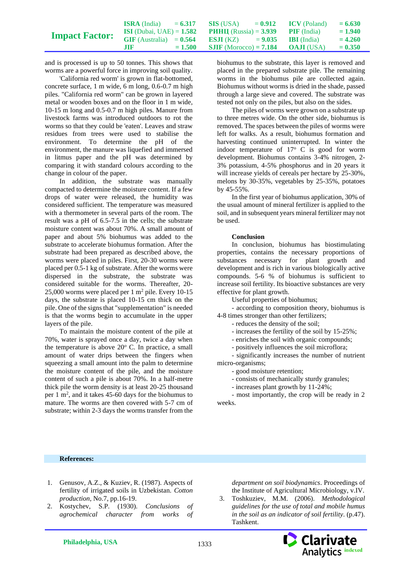|                       | <b>ISRA</b> (India)               | $= 6.317$ | SIS (USA)                       | $= 0.912$ | <b>ICV</b> (Poland) | $= 6.630$ |
|-----------------------|-----------------------------------|-----------|---------------------------------|-----------|---------------------|-----------|
| <b>Impact Factor:</b> | <b>ISI</b> (Dubai, UAE) = $1.582$ |           | <b>PHHII</b> (Russia) = $3.939$ |           | <b>PIF</b> (India)  | $= 1.940$ |
|                       | $GIF$ (Australia) = $0.564$       |           | <b>BSJI (KZ)</b>                | $= 9.035$ | <b>IBI</b> (India)  | $= 4.260$ |
|                       | .TIF                              | $= 1.500$ | <b>SJIF</b> (Morocco) = $7.184$ |           | <b>OAJI</b> (USA)   | $= 0.350$ |

and is processed is up to 50 tonnes. This shows that worms are a powerful force in improving soil quality.

'California red worm' is grown in flat-bottomed, concrete surface, 1 m wide, 6 m long, 0.6-0.7 m high piles. "California red worm" can be grown in layered metal or wooden boxes and on the floor in 1 m wide, 10-15 m long and 0.5-0.7 m high piles. Manure from livestock farms was introduced outdoors to rot the worms so that they could be 'eaten'. Leaves and straw residues from trees were used to stabilise the environment. To determine the pH of the environment, the manure was liquefied and immersed in litmus paper and the pH was determined by comparing it with standard colours according to the change in colour of the paper.

In addition, the substrate was manually compacted to determine the moisture content. If a few drops of water were released, the humidity was considered sufficient. The temperature was measured with a thermometer in several parts of the room. The result was a pH of 6.5-7.5 in the cells; the substrate moisture content was about 70%. A small amount of paper and about 5% biohumus was added to the substrate to accelerate biohumus formation. After the substrate had been prepared as described above, the worms were placed in piles. First, 20-30 worms were placed per 0.5-1 kg of substrate. After the worms were dispersed in the substrate, the substrate was considered suitable for the worms. Thereafter, 20- 25,000 worms were placed per  $1 \text{ m}^2$  pile. Every 10-15 days, the substrate is placed 10-15 cm thick on the pile. One of the signs that "supplementation" is needed is that the worms begin to accumulate in the upper layers of the pile.

To maintain the moisture content of the pile at 70%, water is sprayed once a day, twice a day when the temperature is above  $20^{\circ}$  C. In practice, a small amount of water drips between the fingers when squeezing a small amount into the palm to determine the moisture content of the pile, and the moisture content of such a pile is about 70%. In a half-metre thick pile the worm density is at least 20-25 thousand per  $1 \text{ m}^2$ , and it takes 45-60 days for the biohumus to mature. The worms are then covered with 5-7 cm of substrate; within 2-3 days the worms transfer from the

biohumus to the substrate, this layer is removed and placed in the prepared substrate pile. The remaining worms in the biohumus pile are collected again. Biohumus without worms is dried in the shade, passed through a large sieve and covered. The substrate was tested not only on the piles, but also on the sides.

The piles of worms were grown on a substrate up to three metres wide. On the other side, biohumus is removed. The spaces between the piles of worms were left for walks. As a result, biohumus formation and harvesting continued uninterrupted. In winter the indoor temperature of  $17^{\circ}$  C is good for worm development. Biohumus contains 3-4% nitrogen, 2- 3% potassium, 4-5% phosphorus and in 20 years it will increase yields of cereals per hectare by 25-30%, melons by 30-35%, vegetables by 25-35%, potatoes by 45-55%.

In the first year of biohumus application, 30% of the usual amount of mineral fertilizer is applied to the soil, and in subsequent years mineral fertilizer may not be used.

## **Conclusion**

In conclusion, biohumus has biostimulating properties, contains the necessary proportions of substances necessary for plant growth and development and is rich in various biologically active compounds. 5-6 % of biohumus is sufficient to increase soil fertility. Its bioactive substances are very effective for plant growth.

Useful properties of biohumus;

- according to composition theory, biohumus is 4-8 times stronger than other fertilizers;

- reduces the density of the soil;

- increases the fertility of the soil by 15-25%;

- enriches the soil with organic compounds;

- positively influences the soil microflora;

- significantly increases the number of nutrient micro-organisms;

- good moisture retention;

- consists of mechanically sturdy granules;

- increases plant growth by 11-24%;

- most importantly, the crop will be ready in 2 weeks.

## **References:**

- 1. Genusov, A.Z., & Kuziev, R. (1987). Aspects of fertility of irrigated soils in Uzbekistan. *Cotton production*, No.7, pp.16-19.
- 2. Kostychev, S.P. (1930). *Conclusions of agrochemical character from works of*

*department on soil biodynamics*. Proceedings of the Institute of Agricultural Microbiology, v.IV.

3. Toshkuziev, M.M. (2006). *Methodological guidelines for the use of total and mobile humus in the soil as an indicator of soil fertility*. (p.47). Tashkent.